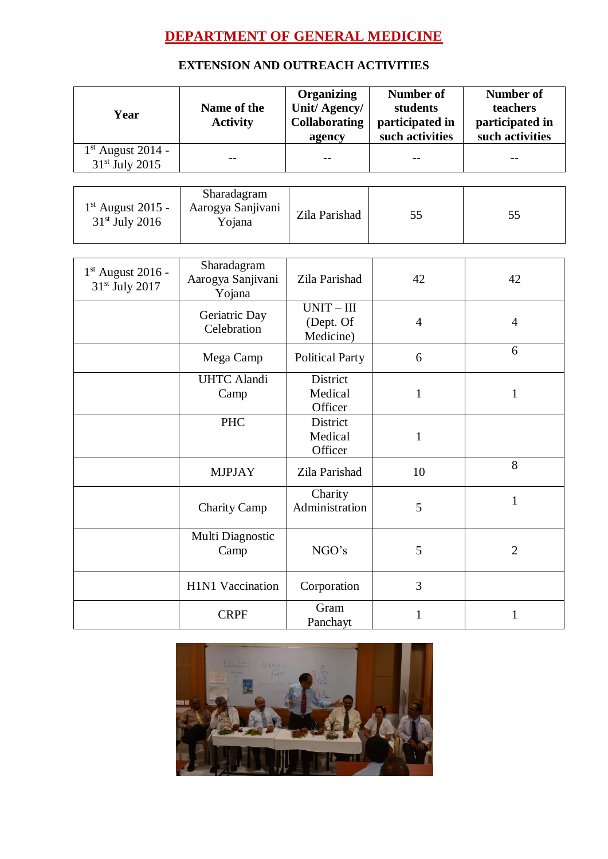## **DEPARTMENT OF GENERAL MEDICINE**

## **EXTENSION AND OUTREACH ACTIVITIES**

| Year                                              | Name of the<br><b>Activity</b>             | <b>Organizing</b><br>Unit/Agency/<br><b>Collaborating</b><br>agency | <b>Number of</b><br>students<br>participated in<br>such activities | <b>Number of</b><br>teachers<br>participated in<br>such activities |
|---------------------------------------------------|--------------------------------------------|---------------------------------------------------------------------|--------------------------------------------------------------------|--------------------------------------------------------------------|
| $1st$ August 2014 -<br>31 <sup>st</sup> July 2015 |                                            | $-$                                                                 |                                                                    | --                                                                 |
| $1st$ August 2015 -<br>31 <sup>st</sup> July 2016 | Sharadagram<br>Aarogya Sanjivani<br>Yojana | Zila Parishad                                                       | 55                                                                 | 55                                                                 |
| $1st$ August 2016 -<br>31 <sup>st</sup> July 2017 | Sharadagram<br>Aarogya Sanjivani<br>Yojana | Zila Parishad                                                       | 42                                                                 | 42                                                                 |
|                                                   | Geriatric Day<br>Celebration               | $UNIT - III$<br>(Dept. Of<br>Medicine)                              | $\overline{4}$                                                     | $\overline{4}$                                                     |
|                                                   | Mega Camp                                  | <b>Political Party</b>                                              | 6                                                                  | 6                                                                  |
|                                                   | <b>UHTC</b> Alandi<br>Camp                 | District<br>Medical<br>Officer                                      | 1                                                                  | $\mathbf{1}$                                                       |
|                                                   | <b>PHC</b>                                 | District<br>Medical<br>Officer                                      | $\mathbf{1}$                                                       |                                                                    |
|                                                   | <b>MJPJAY</b>                              | Zila Parishad                                                       | 10                                                                 | 8                                                                  |
|                                                   | <b>Charity Camp</b>                        | Charity<br>Administration                                           | 5                                                                  | $\mathbf{1}$                                                       |
|                                                   | Multi Diagnostic<br>Camp                   | NGO's                                                               | 5                                                                  | $\overline{2}$                                                     |
|                                                   | H1N1 Vaccination                           | Corporation                                                         | 3                                                                  |                                                                    |
|                                                   | <b>CRPF</b>                                | Gram<br>Panchayt                                                    | $\mathbf{1}$                                                       | $\mathbf{1}$                                                       |

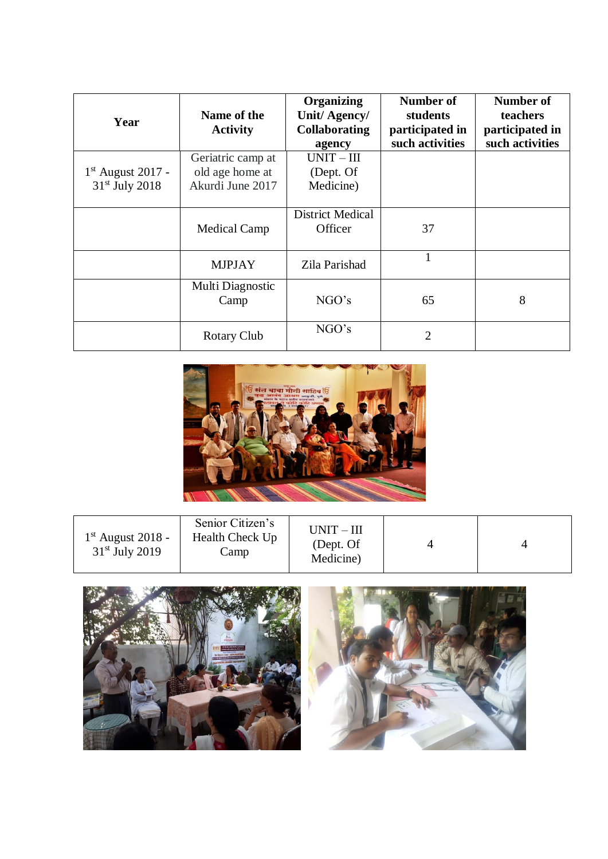| Year                                    | Name of the<br><b>Activity</b>                           | <b>Organizing</b><br>Unit/Agency/<br><b>Collaborating</b><br>agency | Number of<br>students<br>participated in<br>such activities | Number of<br><b>teachers</b><br>participated in<br>such activities |
|-----------------------------------------|----------------------------------------------------------|---------------------------------------------------------------------|-------------------------------------------------------------|--------------------------------------------------------------------|
| $1st$ August 2017 -<br>$31st$ July 2018 | Geriatric camp at<br>old age home at<br>Akurdi June 2017 | $UNIT - III$<br>(Dept. Of<br>Medicine)                              |                                                             |                                                                    |
|                                         | <b>Medical Camp</b>                                      | <b>District Medical</b><br>Officer                                  | 37                                                          |                                                                    |
|                                         | <b>MJPJAY</b>                                            | Zila Parishad                                                       |                                                             |                                                                    |
|                                         | Multi Diagnostic<br>Camp                                 | NGO's                                                               | 65                                                          | 8                                                                  |
|                                         | <b>Rotary Club</b>                                       | NGO's                                                               | $\overline{2}$                                              |                                                                    |



| $1st$ August 2018 -<br>$31st$ July 2019 | Senior Citizen's<br><b>Health Check Up</b><br>amp. | $UNIT - III$<br>(Dept. Of<br>Medicine) |  |  |
|-----------------------------------------|----------------------------------------------------|----------------------------------------|--|--|
|-----------------------------------------|----------------------------------------------------|----------------------------------------|--|--|